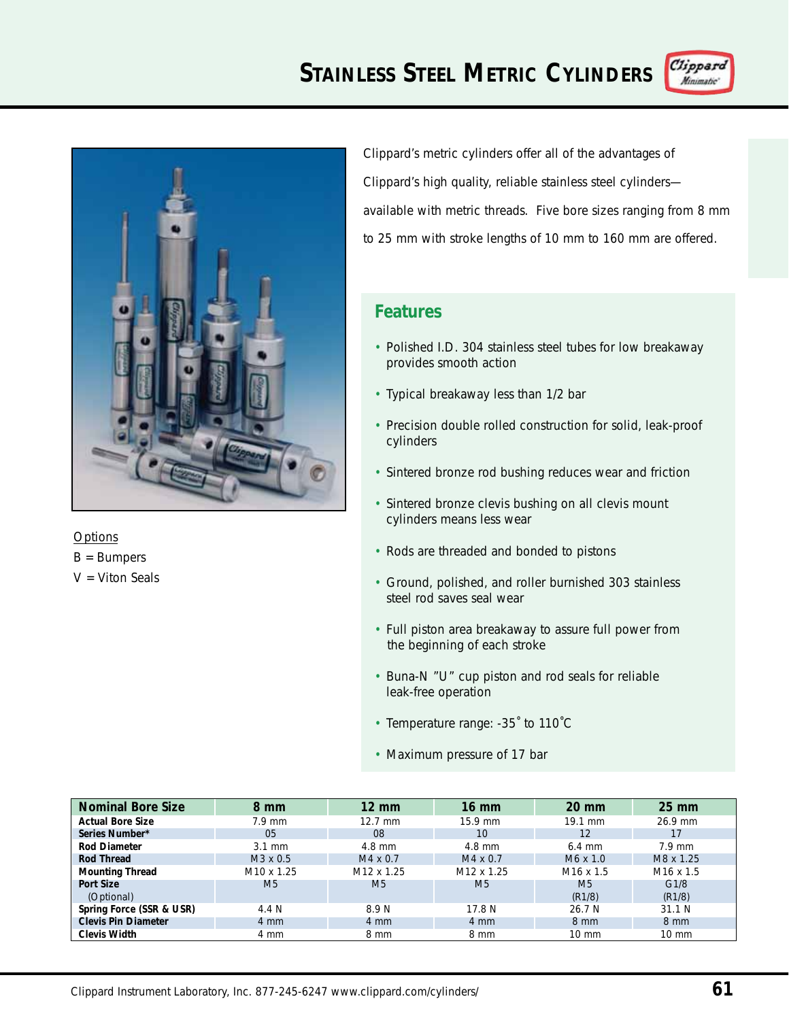



**Options** 

 $B = B$ umpers

V = Viton Seals

Clippard's metric cylinders offer all of the advantages of Clippard's high quality, reliable stainless steel cylinders available with metric threads. Five bore sizes ranging from 8 mm to 25 mm with stroke lengths of 10 mm to 160 mm are offered.

## **Features**

- Polished I.D. 304 stainless steel tubes for low breakaway provides smooth action
- Typical breakaway less than 1/2 bar
- Precision double rolled construction for solid, leak-proof cylinders
- Sintered bronze rod bushing reduces wear and friction
- Sintered bronze clevis bushing on all clevis mount cylinders means less wear
- Rods are threaded and bonded to pistons
- Ground, polished, and roller burnished 303 stainless steel rod saves seal wear
- Full piston area breakaway to assure full power from the beginning of each stroke
- Buna-N "U" cup piston and rod seals for reliable leak-free operation
- Temperature range: -35˚ to 110˚C
- Maximum pressure of 17 bar

| <b>Nominal Bore Size</b>   | 8 mm                   | $12 \text{ mm}$        | $16 \text{ mm}$        | $20 \text{ mm}$          | $25 \text{ mm}$       |
|----------------------------|------------------------|------------------------|------------------------|--------------------------|-----------------------|
| <b>Actual Bore Size</b>    | $7.9$ mm               | 12.7 mm                | 15.9 mm                | 19.1 mm                  | 26.9 mm               |
| Series Number*             | 0 <sub>5</sub>         | 08                     | 10                     | 12                       | 17                    |
| <b>Rod Diameter</b>        | $3.1 \text{ mm}$       | 4.8 mm                 | $4.8$ mm               | $6.4 \text{ mm}$         | $7.9$ mm              |
| <b>Rod Thread</b>          | $M3 \times 0.5$        | $M4 \times 0.7$        | $M4 \times 0.7$        | $M6 \times 1.0$          | M8 x 1.25             |
| <b>Mounting Thread</b>     | M <sub>10</sub> x 1.25 | M <sub>12</sub> x 1.25 | M <sub>12</sub> x 1.25 | M <sub>16</sub> x 1.5    | M <sub>16</sub> x 1.5 |
| Port Size<br>(Optional)    | M <sub>5</sub>         | M <sub>5</sub>         | M <sub>5</sub>         | M <sub>5</sub><br>(R1/8) | G1/8<br>(R1/8)        |
| Spring Force (SSR & USR)   | 4.4 N                  | 8.9 N                  | 17.8N                  | 26.7 N                   | 31.1 N                |
| <b>Clevis Pin Diameter</b> | $4 \, \text{mm}$       | 4 mm                   | 4 mm                   | $8 \, \text{mm}$         | $8 \, \text{mm}$      |
| <b>Clevis Width</b>        | 4 mm                   | 8 mm                   | 8 mm                   | $10 \text{ mm}$          | 10 mm                 |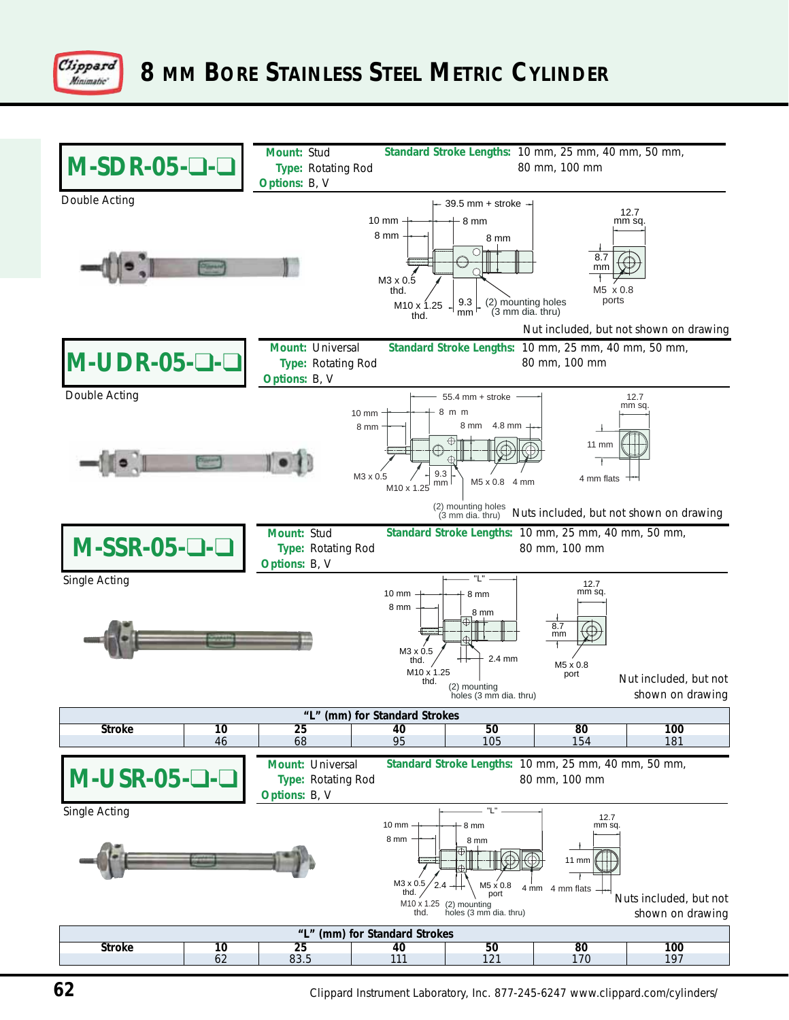



**62** Clippard Instrument Laboratory, Inc. 877-245-6247 www.clippard.com/cylinders/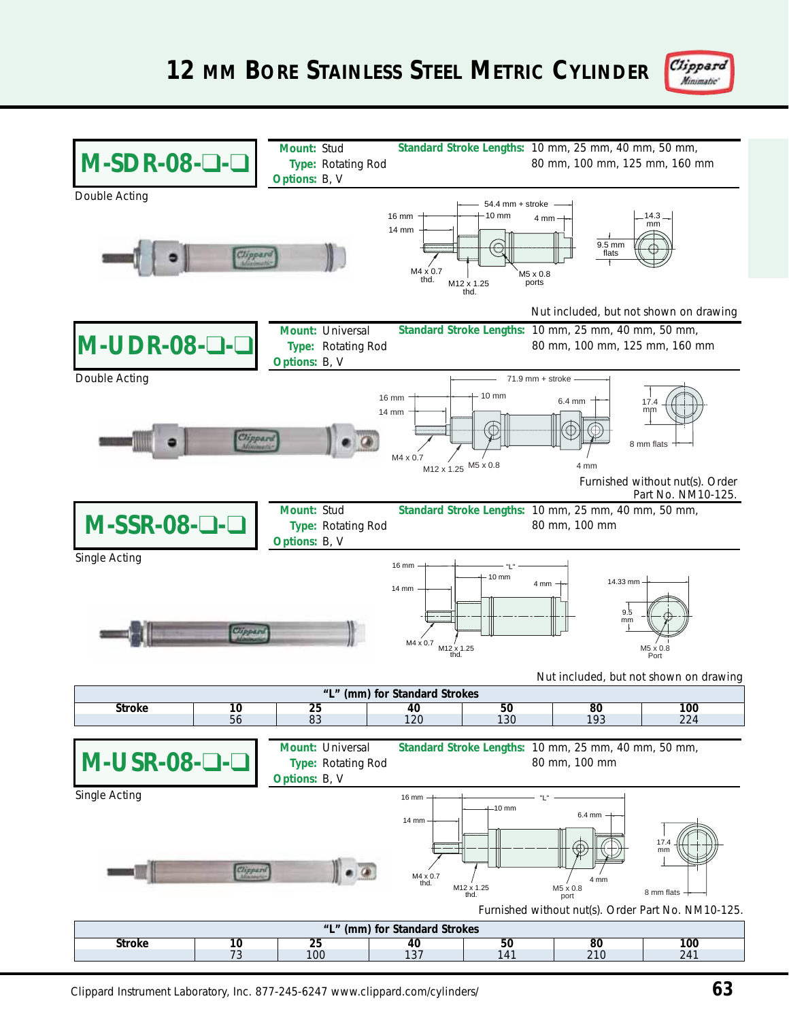

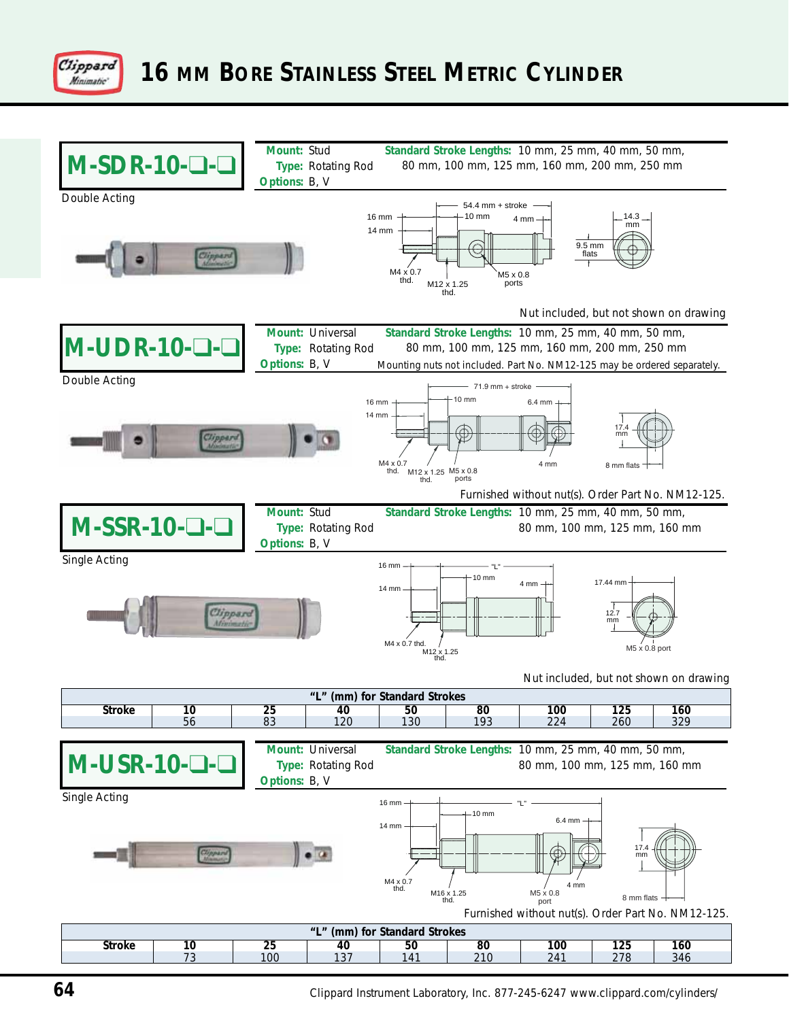



**64** Clippard Instrument Laboratory, Inc. 877-245-6247 www.clippard.com/cylinders/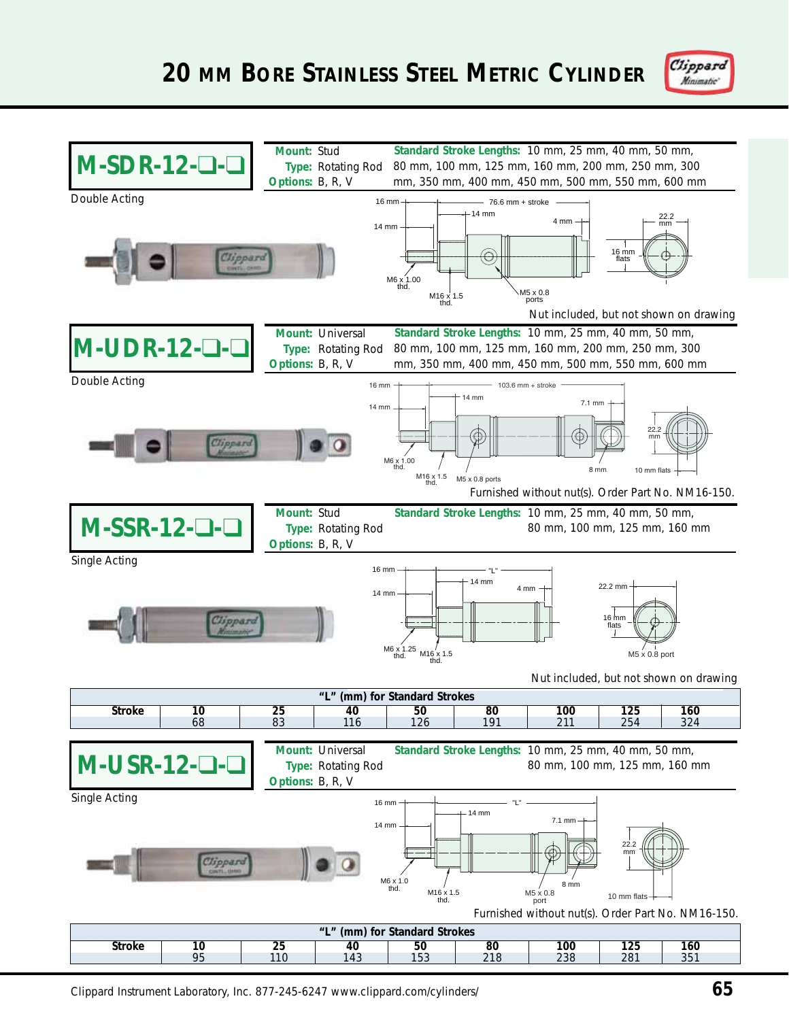